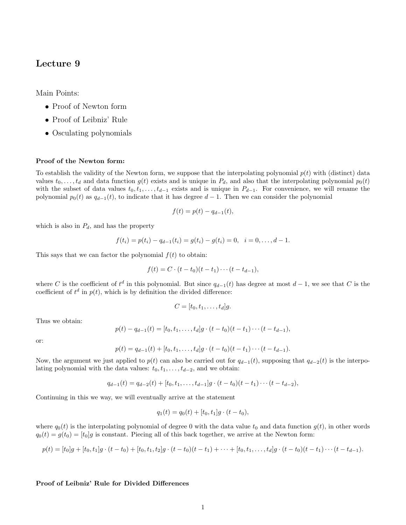# Lecture 9

Main Points:

- Proof of Newton form
- Proof of Leibniz' Rule
- Osculating polynomials

## Proof of the Newton form:

To establish the validity of the Newton form, we suppose that the interpolating polynomial  $p(t)$  with (distinct) data values  $t_0, \ldots, t_d$  and data function  $g(t)$  exists and is unique in  $P_d$ , and also that the interpolating polynomial  $p_0(t)$ with the subset of data values  $t_0, t_1, \ldots, t_{d-1}$  exists and is unique in  $P_{d-1}$ . For convenience, we will rename the polynomial  $p_0(t)$  as  $q_{d-1}(t)$ , to indicate that it has degree  $d-1$ . Then we can consider the polynomial

$$
f(t) = p(t) - q_{d-1}(t),
$$

which is also in  $P_d$ , and has the property

$$
f(t_i) = p(t_i) - q_{d-1}(t_i) = g(t_i) - g(t_i) = 0, \quad i = 0, \ldots, d-1.
$$

This says that we can factor the polynomial  $f(t)$  to obtain:

$$
f(t) = C \cdot (t - t_0)(t - t_1) \cdots (t - t_{d-1}),
$$

where C is the coefficient of  $t^d$  in this polynomial. But since  $q_{d-1}(t)$  has degree at most  $d-1$ , we see that C is the coefficient of  $t^d$  in  $p(t)$ , which is by definition the divided difference:

$$
C=[t_0,t_1,\ldots,t_d]g.
$$

Thus we obtain:

$$
p(t) - q_{d-1}(t) = [t_0, t_1, \dots, t_d]g \cdot (t - t_0)(t - t_1) \cdots (t - t_{d-1}),
$$

or:

$$
p(t) = q_{d-1}(t) + [t_0, t_1, \dots, t_d]g \cdot (t - t_0)(t - t_1) \cdots (t - t_{d-1}).
$$

Now, the argument we just applied to  $p(t)$  can also be carried out for  $q_{d-1}(t)$ , supposing that  $q_{d-2}(t)$  is the interpolating polynomial with the data values:  $t_0, t_1, \ldots, t_{d-2}$ , and we obtain:

$$
q_{d-1}(t) = q_{d-2}(t) + [t_0, t_1, \ldots, t_{d-1}]g \cdot (t - t_0)(t - t_1) \cdots (t - t_{d-2}),
$$

Continuing in this we way, we will eventually arrive at the statement

$$
q_1(t) = q_0(t) + [t_0, t_1]g \cdot (t - t_0),
$$

where  $q_0(t)$  is the interpolating polynomial of degree 0 with the data value  $t_0$  and data function  $g(t)$ , in other words  $q_0(t) = g(t_0) = [t_0]g$  is constant. Piecing all of this back together, we arrive at the Newton form:

$$
p(t) = [t_0]g + [t_0, t_1]g \cdot (t - t_0) + [t_0, t_1, t_2]g \cdot (t - t_0)(t - t_1) + \cdots + [t_0, t_1, \ldots, t_d]g \cdot (t - t_0)(t - t_1) \cdots (t - t_{d-1}).
$$

### Proof of Leibniz' Rule for Divided Differences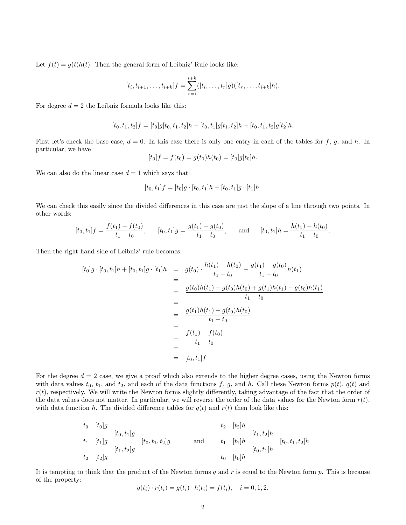Let  $f(t) = g(t)h(t)$ . Then the general form of Leibniz' Rule looks like:

$$
[t_i, t_{i+1}, \ldots, t_{i+k}]f = \sum_{r=i}^{i+k} ([t_i, \ldots, t_r]g)([t_r, \ldots, t_{i+k}]h).
$$

For degree  $d = 2$  the Leibniz formula looks like this:

$$
[t_0,t_1,t_2]f=[t_0]g[t_0,t_1,t_2]h+[t_0,t_1]g[t_1,t_2]h+[t_0,t_1,t_2]g[t_2]h. \label{eq:3.1}
$$

First let's check the base case,  $d = 0$ . In this case there is only one entry in each of the tables for f, g, and h. In particular, we have

$$
[t_0]f = f(t_0) = g(t_0)h(t_0) = [t_0]g[t_0]h.
$$

We can also do the linear case  $d = 1$  which says that:

$$
[t_0, t_1]f = [t_0]g \cdot [t_0, t_1]h + [t_0, t_1]g \cdot [t_1]h.
$$

We can check this easily since the divided differences in this case are just the slope of a line through two points. In other words:

$$
[t_0, t_1]f = \frac{f(t_1) - f(t_0)}{t_1 - t_0}, \qquad [t_0, t_1]g = \frac{g(t_1) - g(t_0)}{t_1 - t_0}, \qquad \text{and} \qquad [t_0, t_1]h = \frac{h(t_1) - h(t_0)}{t_1 - t_0}.
$$

Then the right hand side of Leibniz' rule becomes:

$$
[t_0]g \cdot [t_0, t_1]h + [t_0, t_1]g \cdot [t_1]h = g(t_0) \cdot \frac{h(t_1) - h(t_0)}{t_1 - t_0} + \frac{g(t_1) - g(t_0)}{t_1 - t_0}h(t_1)
$$
  
\n
$$
= \frac{g(t_0)h(t_1) - g(t_0)h(t_0) + g(t_1)h(t_1) - g(t_0)h(t_1)}{t_1 - t_0}
$$
  
\n
$$
= \frac{g(t_1)h(t_1) - g(t_0)h(t_0)}{t_1 - t_0}
$$
  
\n
$$
= \frac{f(t_1) - f(t_0)}{t_1 - t_0}
$$
  
\n
$$
= [t_0, t_1]f
$$

For the degree  $d = 2$  case, we give a proof which also extends to the higher degree cases, using the Newton forms with data values  $t_0$ ,  $t_1$ , and  $t_2$ , and each of the data functions f, g, and h. Call these Newton forms  $p(t)$ ,  $q(t)$  and  $r(t)$ , respectively. We will write the Newton forms slightly differently, taking advantage of the fact that the order of the data values does not matter. In particular, we will reverse the order of the data values for the Newton form  $r(t)$ , with data function h. The divided difference tables for  $q(t)$  and  $r(t)$  then look like this:

$$
t_{0} \t[t_{0}]g \t t_{1}[t_{1}]g \t t_{2}[t_{2}]h \t [t_{1},t_{2}]g \t t_{2}[t_{1},t_{2}]g \t t_{3}[t_{2},t_{1}]h \t [t_{3},t_{1}]h \t [t_{4},t_{2}]g \t t_{5}[t_{2}]g \t t_{6}[t_{1}]h \t [t_{6},t_{1}]h \t [t_{7},t_{2}]g
$$

It is tempting to think that the product of the Newton forms q and  $r$  is equal to the Newton form  $p$ . This is because of the property:

$$
q(t_i) \cdot r(t_i) = g(t_i) \cdot h(t_i) = f(t_i), \quad i = 0, 1, 2.
$$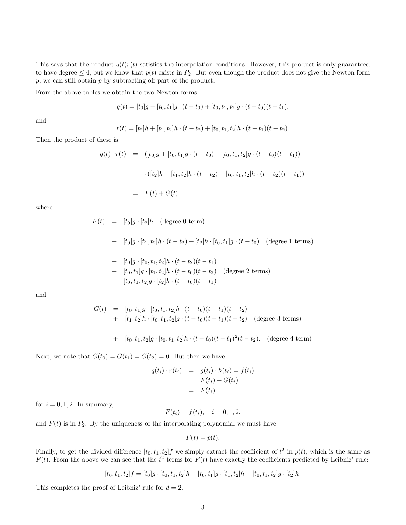This says that the product  $q(t)r(t)$  satisfies the interpolation conditions. However, this product is only guaranteed to have degree  $\leq 4$ , but we know that  $p(t)$  exists in  $P_2$ . But even though the product does not give the Newton form  $p$ , we can still obtain  $p$  by subtracting off part of the product.

From the above tables we obtain the two Newton forms:

$$
q(t) = [t_0]g + [t_0, t_1]g \cdot (t - t_0) + [t_0, t_1, t_2]g \cdot (t - t_0)(t - t_1),
$$

and

$$
r(t) = [t_2]h + [t_1, t_2]h \cdot (t - t_2) + [t_0, t_1, t_2]h \cdot (t - t_1)(t - t_2).
$$

Then the product of these is:

$$
q(t) \cdot r(t) = ([t_0]g + [t_0, t_1]g \cdot (t - t_0) + [t_0, t_1, t_2]g \cdot (t - t_0)(t - t_1))
$$

$$
\cdot ([t_2]h + [t_1, t_2]h \cdot (t - t_2) + [t_0, t_1, t_2]h \cdot (t - t_2)(t - t_1))
$$

$$
= F(t) + G(t)
$$

where

 $F(t) = [t_0]g \cdot [t_2]h$  (degree 0 term)

+ 
$$
[t_0]g \cdot [t_1, t_2]h \cdot (t - t_2) + [t_2]h \cdot [t_0, t_1]g \cdot (t - t_0)
$$
 (degree 1 terms)

+ 
$$
[t_0]g \cdot [t_0, t_1, t_2]h \cdot (t - t_2)(t - t_1)
$$

- +  $[t_0, t_1]g \cdot [t_1, t_2]h \cdot (t t_0)(t t_2)$  (degree 2 terms)
- +  $[t_0, t_1, t_2]$ g ·  $[t_2]$ h ·  $(t t_0)(t t_1)$

and

$$
G(t) = [t_0, t_1]g \cdot [t_0, t_1, t_2]h \cdot (t - t_0)(t - t_1)(t - t_2)
$$
  
+ 
$$
[t_1, t_2]h \cdot [t_0, t_1, t_2]g \cdot (t - t_0)(t - t_1)(t - t_2)
$$
 (degree 3 terms)

+ 
$$
[t_0, t_1, t_2]g \cdot [t_0, t_1, t_2]h \cdot (t - t_0)(t - t_1)^2(t - t_2)
$$
. (degree 4 term)

Next, we note that  $G(t_0) = G(t_1) = G(t_2) = 0$ . But then we have

$$
q(t_i) \cdot r(t_i) = g(t_i) \cdot h(t_i) = f(t_i)
$$
  
= 
$$
F(t_i) + G(t_i)
$$
  
= 
$$
F(t_i)
$$

for  $i = 0, 1, 2$ . In summary,

$$
F(t_i) = f(t_i), \quad i = 0, 1, 2,
$$

and  $F(t)$  is in  $P_2$ . By the uniqueness of the interpolating polynomial we must have

$$
F(t) = p(t).
$$

Finally, to get the divided difference  $[t_0, t_1, t_2]$  we simply extract the coefficient of  $t^2$  in  $p(t)$ , which is the same as  $F(t)$ . From the above we can see that the  $t^2$  terms for  $F(t)$  have exactly the coefficients predicted by Leibniz' rule:

$$
[t_0, t_1, t_2]f = [t_0]g \cdot [t_0, t_1, t_2]h + [t_0, t_1]g \cdot [t_1, t_2]h + [t_0, t_1, t_2]g \cdot [t_2]h.
$$

This completes the proof of Leibniz' rule for  $d = 2$ .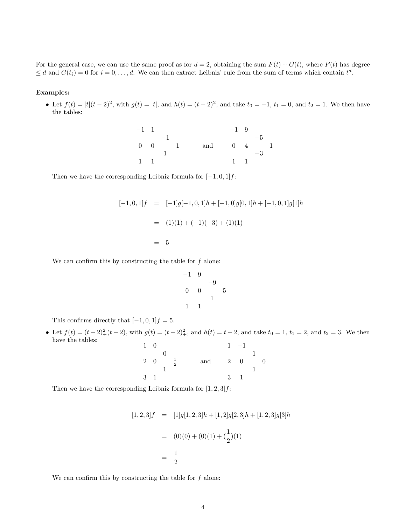For the general case, we can use the same proof as for  $d = 2$ , obtaining the sum  $F(t) + G(t)$ , where  $F(t)$  has degree  $\leq d$  and  $G(t_i) = 0$  for  $i = 0, \ldots, d$ . We can then extract Leibniz' rule from the sum of terms which contain  $t^d$ .

## Examples:

• Let  $f(t) = |t|(t-2)^2$ , with  $g(t) = |t|$ , and  $h(t) = (t-2)^2$ , and take  $t_0 = -1$ ,  $t_1 = 0$ , and  $t_2 = 1$ . We then have the tables:

| $-1$ 1 |             |      |  |     | $-1\quad 9$  |      |  |
|--------|-------------|------|--|-----|--------------|------|--|
|        |             | $-1$ |  |     |              | $-5$ |  |
|        | $0 \quad 0$ |      |  | and | $0 \quad 4$  |      |  |
|        |             |      |  |     |              | $-3$ |  |
| 1      |             |      |  |     | $\mathbf{1}$ |      |  |

Then we have the corresponding Leibniz formula for  $[-1, 0, 1]$ *f*:

$$
[-1, 0, 1]f = [-1]g[-1, 0, 1]h + [-1, 0]g[0, 1]h + [-1, 0, 1]g[1]h
$$

$$
= (1)(1) + (-1)(-3) + (1)(1)
$$

$$
= 5
$$

We can confirm this by constructing the table for  $f$  alone:

$$
\begin{array}{ccc}\n-1 & 9 & & -9 \\
0 & 0 & & 5 \\
 & & 1 & \\
1 & 1 & & \\
\end{array}
$$

This confirms directly that  $[-1, 0, 1]f = 5$ .

• Let  $f(t) = (t-2)^2 + (t-2)$ , with  $g(t) = (t-2)^2 +$ , and  $h(t) = t-2$ , and take  $t_0 = 1$ ,  $t_1 = 2$ , and  $t_2 = 3$ . We then have the tables:

| $1 \quad 0$ |            |               |     |                           | $-1$     |                |
|-------------|------------|---------------|-----|---------------------------|----------|----------------|
|             |            |               |     |                           |          |                |
|             | $2\quad 0$ | $\frac{1}{2}$ | and | $\overline{\phantom{a}2}$ | $\theta$ | $\overline{0}$ |
|             |            |               |     |                           |          |                |
| 3 1         |            |               |     | 3                         |          |                |
|             |            |               |     |                           |          |                |

Then we have the corresponding Leibniz formula for  $[1, 2, 3]$ *f*:

$$
[1,2,3]f = [1]g[1,2,3]h + [1,2]g[2,3]h + [1,2,3]g[3]h
$$
  

$$
= (0)(0) + (0)(1) + (\frac{1}{2})(1)
$$
  

$$
= \frac{1}{2}
$$

We can confirm this by constructing the table for  $f$  alone: